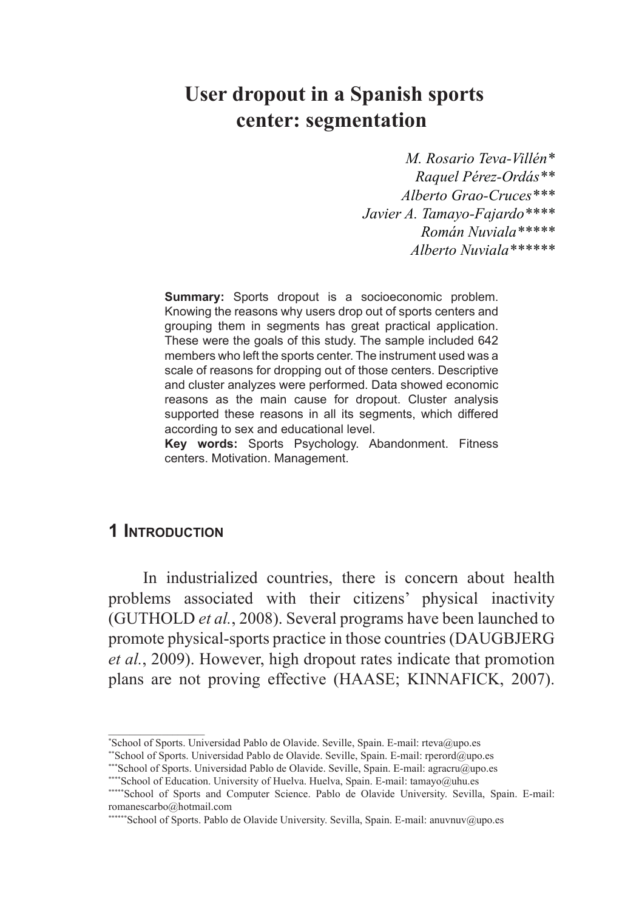# **User dropout in a Spanish sports center: segmentation**

*M. Rosario Teva-Villén\* Raquel Pérez-Ordás\*\* Alberto Grao-Cruces\*\*\* Javier A. Tamayo-Fajardo\*\*\*\* Román Nuviala\*\*\*\*\* Alberto Nuviala\*\*\*\*\*\**

**Summary:** Sports dropout is a socioeconomic problem. Knowing the reasons why users drop out of sports centers and grouping them in segments has great practical application. These were the goals of this study. The sample included 642 members who left the sports center. The instrument used was a scale of reasons for dropping out of those centers. Descriptive and cluster analyzes were performed. Data showed economic reasons as the main cause for dropout. Cluster analysis supported these reasons in all its segments, which differed according to sex and educational level.

**Key words:** Sports Psychology. Abandonment. Fitness centers. Motivation. Management.

#### **1 Introduction**

 $\frac{1}{2}$  ,  $\frac{1}{2}$  ,  $\frac{1}{2}$  ,  $\frac{1}{2}$  ,  $\frac{1}{2}$  ,  $\frac{1}{2}$  ,  $\frac{1}{2}$  ,  $\frac{1}{2}$  ,  $\frac{1}{2}$ 

In industrialized countries, there is concern about health problems associated with their citizens' physical inactivity (GUTHOLD *et al.*, 2008). Several programs have been launched to promote physical-sports practice in those countries (DAUGBJERG *et al.*, 2009). However, high dropout rates indicate that promotion plans are not proving effective (HAASE; KINNAFICK, 2007).

<sup>\*</sup> School of Sports. Universidad Pablo de Olavide. Seville, Spain. E-mail: rteva@upo.es

<sup>\*\*</sup>School of Sports. Universidad Pablo de Olavide. Seville, Spain. E-mail: rperord@upo.es

<sup>\*\*\*</sup>School of Sports. Universidad Pablo de Olavide. Seville, Spain. E-mail: agracru@upo.es<br>\*\*\*\*School of Education. University of Huelva. Huelva, Spain. E-mail: tamayo@uhu.es

<sup>\*\*\*\*\*</sup>School of Sports and Computer Science. Pablo de Olavide University. Sevilla, Spain. E-mail: romanescarbo@hotmail.com

<sup>\*\*\*\*\*\*</sup>School of Sports. Pablo de Olavide University. Sevilla, Spain. E-mail: anuvnuv@upo.es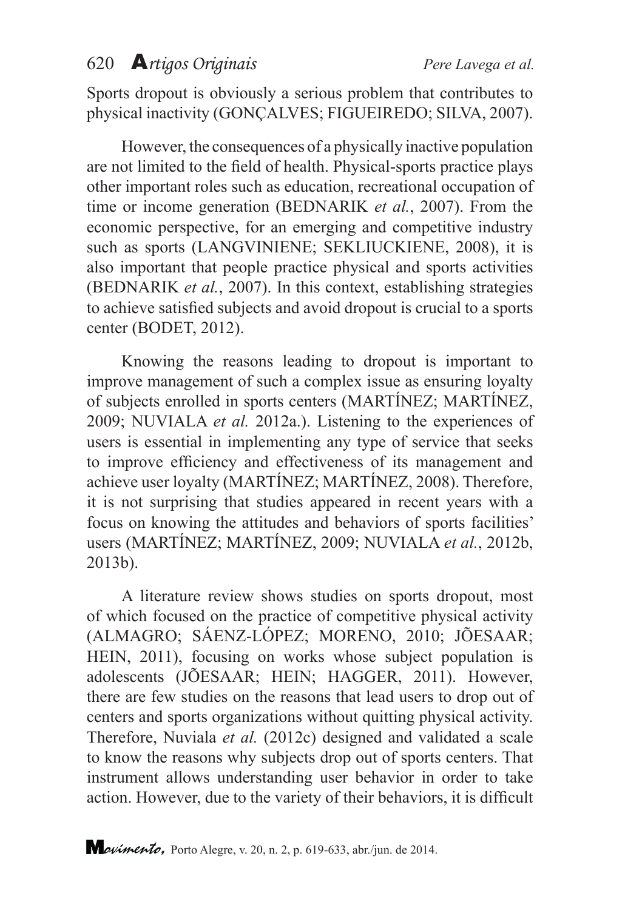Sports dropout is obviously a serious problem that contributes to physical inactivity (GONÇALVES; FIGUEIREDO; SILVA, 2007).

However, the consequences of a physically inactive population are not limited to the field of health. Physical-sports practice plays other important roles such as education, recreational occupation of time or income generation (BEDNARIK *et al.*, 2007). From the economic perspective, for an emerging and competitive industry such as sports (LANGVINIENE; SEKLIUCKIENE, 2008), it is also important that people practice physical and sports activities (BEDNARIK *et al.*, 2007). In this context, establishing strategies to achieve satisfied subjects and avoid dropout is crucial to a sports center (BODET, 2012).

Knowing the reasons leading to dropout is important to improve management of such a complex issue as ensuring loyalty of subjects enrolled in sports centers (MARTÍNEZ; MARTÍNEZ, 2009; NUVIALA *et al.* 2012a.). Listening to the experiences of users is essential in implementing any type of service that seeks to improve efficiency and effectiveness of its management and achieve user loyalty (MARTÍNEZ; MARTÍNEZ, 2008). Therefore, it is not surprising that studies appeared in recent years with a focus on knowing the attitudes and behaviors of sports facilities' users (MARTÍNEZ; MARTÍNEZ, 2009; NUVIALA *et al.*, 2012b, 2013b).

A literature review shows studies on sports dropout, most of which focused on the practice of competitive physical activity (ALMAGRO; SÁENZ-LÓPEZ; MORENO, 2010; JÕESAAR; HEIN, 2011), focusing on works whose subject population is adolescents (JÕESAAR; HEIN; HAGGER, 2011). However, there are few studies on the reasons that lead users to drop out of centers and sports organizations without quitting physical activity. Therefore, Nuviala *et al.* (2012c) designed and validated a scale to know the reasons why subjects drop out of sports centers. That instrument allows understanding user behavior in order to take action. However, due to the variety of their behaviors, it is difficult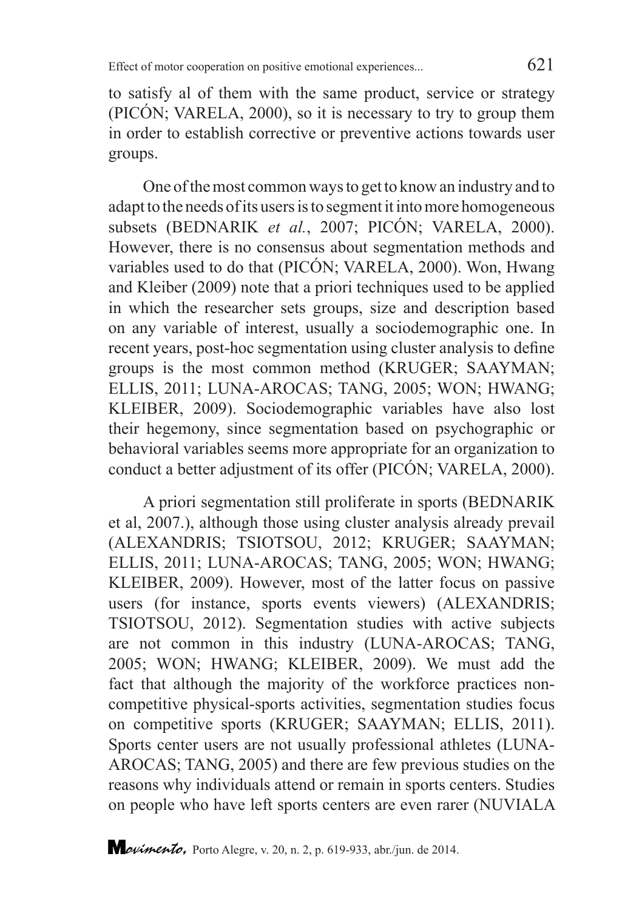to satisfy al of them with the same product, service or strategy (PICÓN; VARELA, 2000), so it is necessary to try to group them in order to establish corrective or preventive actions towards user groups.

One of the most common ways to get to know an industry and to adapt to the needs of its users is to segment it into more homogeneous subsets (BEDNARIK *et al.*, 2007; PICÓN; VARELA, 2000). However, there is no consensus about segmentation methods and variables used to do that (PICÓN; VARELA, 2000). Won, Hwang and Kleiber (2009) note that a priori techniques used to be applied in which the researcher sets groups, size and description based on any variable of interest, usually a sociodemographic one. In recent years, post-hoc segmentation using cluster analysis to define groups is the most common method (KRUGER; SAAYMAN; ELLIS, 2011; LUNA-AROCAS; TANG, 2005; WON; HWANG; KLEIBER, 2009). Sociodemographic variables have also lost their hegemony, since segmentation based on psychographic or behavioral variables seems more appropriate for an organization to conduct a better adjustment of its offer (PICÓN; VARELA, 2000).

A priori segmentation still proliferate in sports (BEDNARIK et al, 2007.), although those using cluster analysis already prevail (ALEXANDRIS; TSIOTSOU, 2012; KRUGER; SAAYMAN; ELLIS, 2011; LUNA-AROCAS; TANG, 2005; WON; HWANG; KLEIBER, 2009). However, most of the latter focus on passive users (for instance, sports events viewers) (ALEXANDRIS; TSIOTSOU, 2012). Segmentation studies with active subjects are not common in this industry (LUNA-AROCAS; TANG, 2005; WON; HWANG; KLEIBER, 2009). We must add the fact that although the majority of the workforce practices noncompetitive physical-sports activities, segmentation studies focus on competitive sports (KRUGER; SAAYMAN; ELLIS, 2011). Sports center users are not usually professional athletes (LUNA-AROCAS; TANG, 2005) and there are few previous studies on the reasons why individuals attend or remain in sports centers. Studies on people who have left sports centers are even rarer (NUVIALA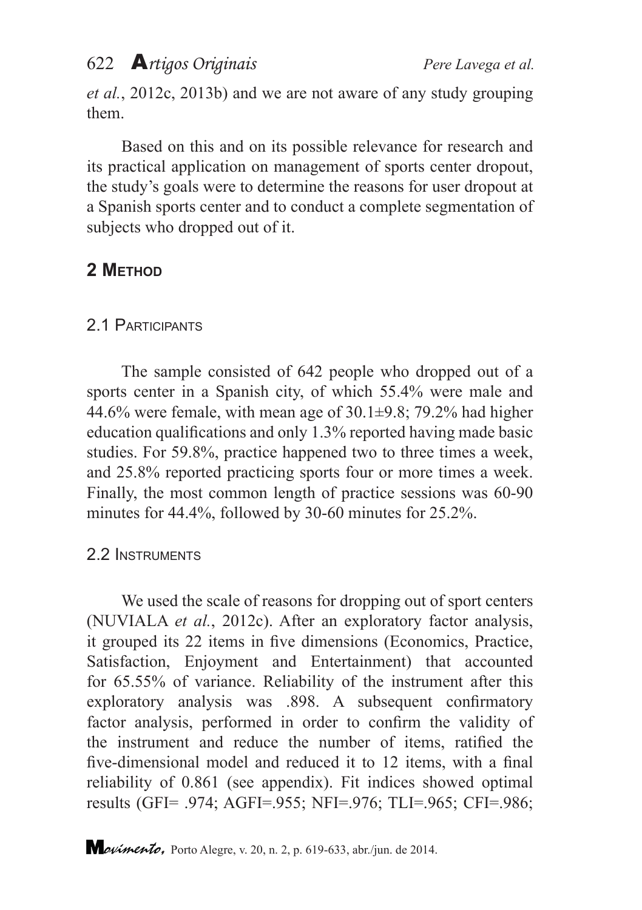*et al.*, 2012c, 2013b) and we are not aware of any study grouping them.

Based on this and on its possible relevance for research and its practical application on management of sports center dropout, the study's goals were to determine the reasons for user dropout at a Spanish sports center and to conduct a complete segmentation of subjects who dropped out of it.

# **2 Method**

### 2.1 Participants

The sample consisted of 642 people who dropped out of a sports center in a Spanish city, of which 55.4% were male and 44.6% were female, with mean age of  $30.1\pm9.8$ ; 79.2% had higher education qualifications and only 1.3% reported having made basic studies. For 59.8%, practice happened two to three times a week, and 25.8% reported practicing sports four or more times a week. Finally, the most common length of practice sessions was 60-90 minutes for 44.4%, followed by 30-60 minutes for 25.2%.

### 2.2 Instruments

We used the scale of reasons for dropping out of sport centers (NUVIALA *et al.*, 2012c). After an exploratory factor analysis, it grouped its 22 items in five dimensions (Economics, Practice, Satisfaction, Enjoyment and Entertainment) that accounted for 65.55% of variance. Reliability of the instrument after this exploratory analysis was .898. A subsequent confirmatory factor analysis, performed in order to confirm the validity of the instrument and reduce the number of items, ratified the five-dimensional model and reduced it to 12 items, with a final reliability of 0.861 (see appendix). Fit indices showed optimal results (GFI= .974; AGFI=.955; NFI=.976; TLI=.965; CFI=.986;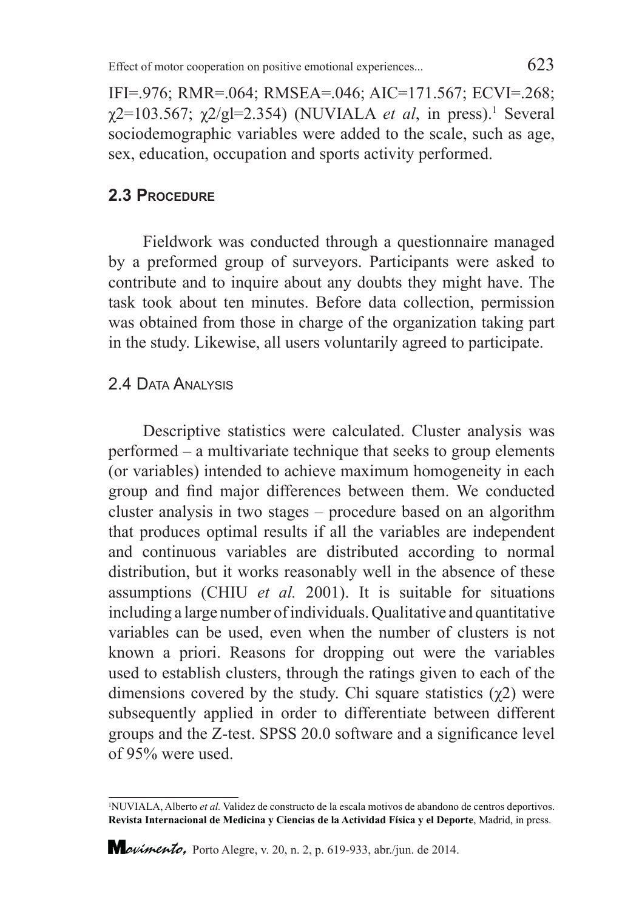IFI=.976; RMR=.064; RMSEA=.046; AIC=171.567; ECVI=.268;  $\chi$ 2=103.567;  $\chi$ 2/gl=2.354) (NUVIALA *et al*, in press).<sup>1</sup> Several sociodemographic variables were added to the scale, such as age, sex, education, occupation and sports activity performed.

#### **2.3 Procedure**

Fieldwork was conducted through a questionnaire managed by a preformed group of surveyors. Participants were asked to contribute and to inquire about any doubts they might have. The task took about ten minutes. Before data collection, permission was obtained from those in charge of the organization taking part in the study. Likewise, all users voluntarily agreed to participate.

#### 2.4 Data Analysis

Descriptive statistics were calculated. Cluster analysis was performed – a multivariate technique that seeks to group elements (or variables) intended to achieve maximum homogeneity in each group and find major differences between them. We conducted cluster analysis in two stages – procedure based on an algorithm that produces optimal results if all the variables are independent and continuous variables are distributed according to normal distribution, but it works reasonably well in the absence of these assumptions (CHIU *et al.* 2001). It is suitable for situations including a large number of individuals. Qualitative and quantitative variables can be used, even when the number of clusters is not known a priori. Reasons for dropping out were the variables used to establish clusters, through the ratings given to each of the dimensions covered by the study. Chi square statistics  $(\gamma 2)$  were subsequently applied in order to differentiate between different groups and the Z-test. SPSS 20.0 software and a significance level of 95% were used.

<sup>1</sup> NUVIALA, Alberto *et al.* Validez de constructo de la escala motivos de abandono de centros deportivos. **Revista Internacional de Medicina y Ciencias de la Actividad Física y el Deporte**, Madrid, in press.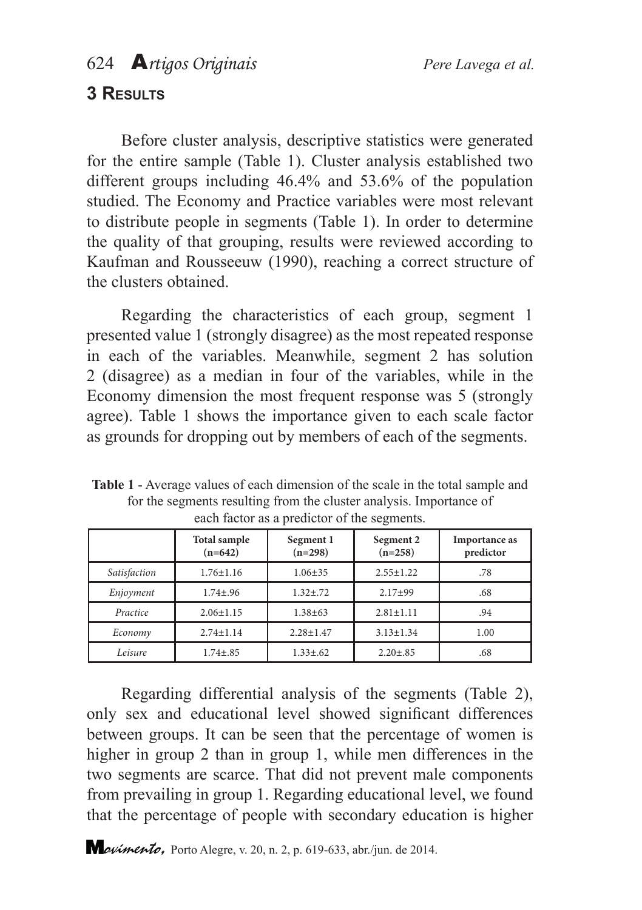### **3 Results**

Before cluster analysis, descriptive statistics were generated for the entire sample (Table 1). Cluster analysis established two different groups including 46.4% and 53.6% of the population studied. The Economy and Practice variables were most relevant to distribute people in segments (Table 1). In order to determine the quality of that grouping, results were reviewed according to Kaufman and Rousseeuw (1990), reaching a correct structure of the clusters obtained.

Regarding the characteristics of each group, segment 1 presented value 1 (strongly disagree) as the most repeated response in each of the variables. Meanwhile, segment 2 has solution 2 (disagree) as a median in four of the variables, while in the Economy dimension the most frequent response was 5 (strongly agree). Table 1 shows the importance given to each scale factor as grounds for dropping out by members of each of the segments.

|              | Total sample<br>$(n=642)$ | Segment 1<br>$(n=298)$ | Segment 2<br>$(n=258)$ | Importance as<br>predictor |
|--------------|---------------------------|------------------------|------------------------|----------------------------|
| Satisfaction | $1.76 \pm 1.16$           | $1.06 + 35$            | $2.55 + 1.22$          | .78                        |
| Enjoyment    | $1.74 \pm .96$            | $1.32 + .72$           | $2.17+99$              | .68                        |
| Practice     | $2.06 + 1.15$             | $1.38 + 63$            | $2.81 + 1.11$          | .94                        |
| Economy      | $2.74 + 1.14$             | $2.28 \pm 1.47$        | $3.13 \pm 1.34$        | 1.00                       |
| Leisure      | $1.74 \pm .85$            | $1.33 \pm .62$         | $2.20 \pm .85$         | .68                        |

**Table 1** - Average values of each dimension of the scale in the total sample and for the segments resulting from the cluster analysis. Importance of each factor as a predictor of the segments.

Regarding differential analysis of the segments (Table 2), only sex and educational level showed significant differences between groups. It can be seen that the percentage of women is higher in group 2 than in group 1, while men differences in the two segments are scarce. That did not prevent male components from prevailing in group 1. Regarding educational level, we found that the percentage of people with secondary education is higher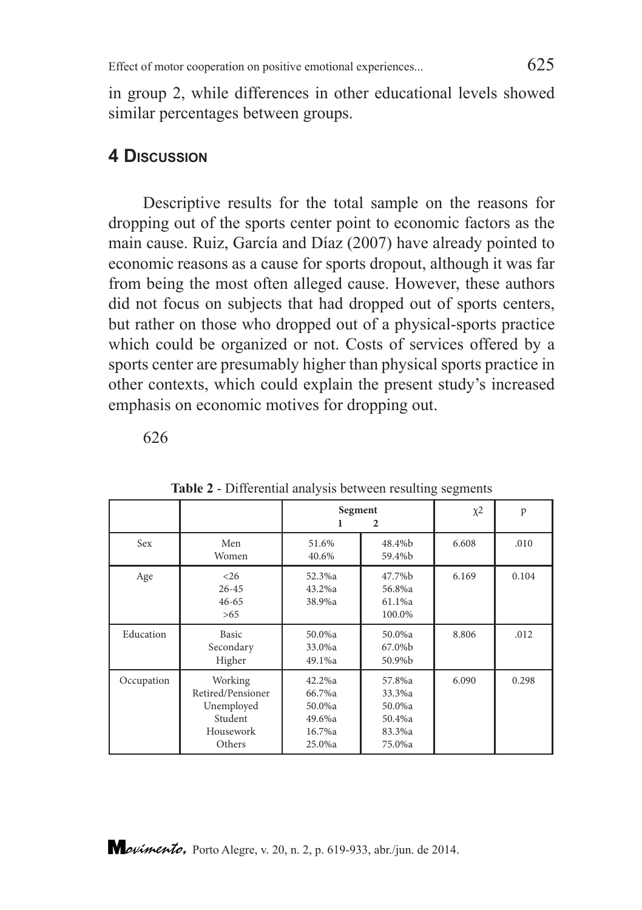in group 2, while differences in other educational levels showed similar percentages between groups.

#### **4 Discussion**

Descriptive results for the total sample on the reasons for dropping out of the sports center point to economic factors as the main cause. Ruiz, García and Díaz (2007) have already pointed to economic reasons as a cause for sports dropout, although it was far from being the most often alleged cause. However, these authors did not focus on subjects that had dropped out of sports centers, but rather on those who dropped out of a physical-sports practice which could be organized or not. Costs of services offered by a sports center are presumably higher than physical sports practice in other contexts, which could explain the present study's increased emphasis on economic motives for dropping out.

626

|            |                                                                              | Segment<br>$\mathbf{2}$                                  |                                                          | $\chi$ <sup>2</sup> | p     |
|------------|------------------------------------------------------------------------------|----------------------------------------------------------|----------------------------------------------------------|---------------------|-------|
| Sex        | Men<br>Women                                                                 | 51.6%<br>40.6%                                           | 48.4%b<br>59.4%b                                         | 6.608               | .010  |
| Age        | < 26<br>$26 - 45$<br>$46 - 65$<br>>65                                        | 52.3%a<br>43.2%a<br>38.9%a                               | 47.7%b<br>56.8%a<br>61.1%a<br>100.0%                     | 6.169               | 0.104 |
| Education  | Basic<br>Secondary<br>Higher                                                 | 50.0%a<br>33.0%a<br>49.1%a                               | 50.0%a<br>67.0%b<br>50.9%b                               | 8.806               | .012  |
| Occupation | Working<br>Retired/Pensioner<br>Unemployed<br>Student<br>Housework<br>Others | 42.2%a<br>66.7%a<br>50.0%a<br>49.6%a<br>16.7%a<br>25.0%a | 57.8%a<br>33.3%a<br>50.0%a<br>50.4%a<br>83.3%a<br>75.0%a | 6.090               | 0.298 |

**Table 2** - Differential analysis between resulting segments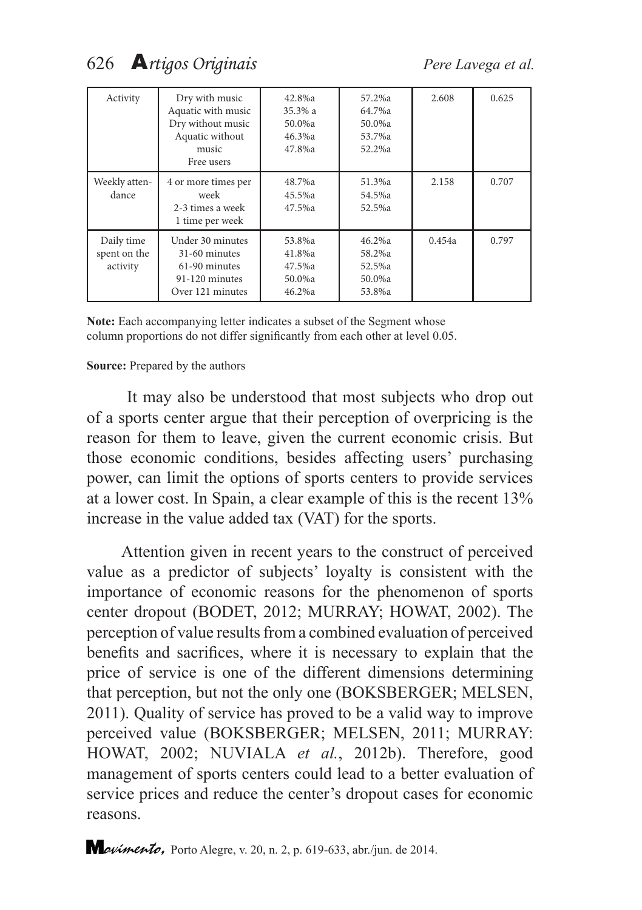| Activity                               | Dry with music<br>Aquatic with music<br>Dry without music<br>Aquatic without<br>music<br>Free users | 42.8%a<br>35.3% a<br>50.0%a<br>46.3%a<br>47.8%a | 57.2%a<br>64.7%a<br>50.0%a<br>53.7%a<br>52.2%a | 2.608  | 0.625 |
|----------------------------------------|-----------------------------------------------------------------------------------------------------|-------------------------------------------------|------------------------------------------------|--------|-------|
| Weekly atten-<br>dance                 | 4 or more times per<br>week<br>2-3 times a week<br>1 time per week                                  | 48.7%a<br>45.5%a<br>47.5%a                      | 51.3%a<br>54.5%a<br>52.5%a                     | 2.158  | 0.707 |
| Daily time<br>spent on the<br>activity | Under 30 minutes<br>31-60 minutes<br>61-90 minutes<br>91-120 minutes<br>Over 121 minutes            | 53.8%a<br>41.8%a<br>47.5%a<br>50.0%a<br>46.2%a  | 46.2%a<br>58.2%a<br>52.5%a<br>50.0%a<br>53.8%a | 0.454a | 0.797 |

**Note:** Each accompanying letter indicates a subset of the Segment whose column proportions do not differ significantly from each other at level 0.05.

#### **Source:** Prepared by the authors

 It may also be understood that most subjects who drop out of a sports center argue that their perception of overpricing is the reason for them to leave, given the current economic crisis. But those economic conditions, besides affecting users' purchasing power, can limit the options of sports centers to provide services at a lower cost. In Spain, a clear example of this is the recent 13% increase in the value added tax (VAT) for the sports.

Attention given in recent years to the construct of perceived value as a predictor of subjects' loyalty is consistent with the importance of economic reasons for the phenomenon of sports center dropout (BODET, 2012; MURRAY; HOWAT, 2002). The perception of value results from a combined evaluation of perceived benefits and sacrifices, where it is necessary to explain that the price of service is one of the different dimensions determining that perception, but not the only one (BOKSBERGER; MELSEN, 2011). Quality of service has proved to be a valid way to improve perceived value (BOKSBERGER; MELSEN, 2011; MURRAY: HOWAT, 2002; NUVIALA *et al.*, 2012b). Therefore, good management of sports centers could lead to a better evaluation of service prices and reduce the center's dropout cases for economic reasons.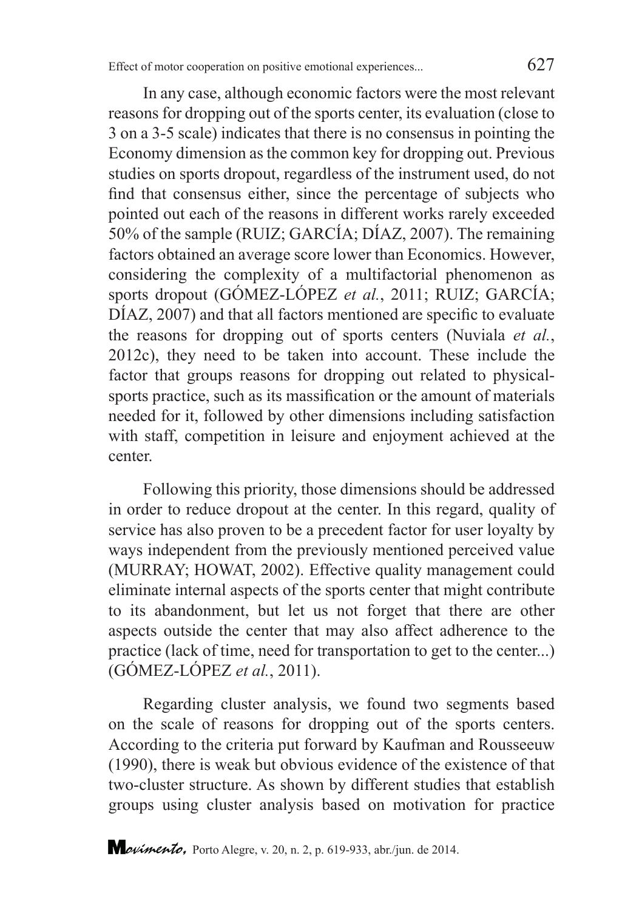In any case, although economic factors were the most relevant reasons for dropping out of the sports center, its evaluation (close to 3 on a 3-5 scale) indicates that there is no consensus in pointing the Economy dimension as the common key for dropping out. Previous studies on sports dropout, regardless of the instrument used, do not find that consensus either, since the percentage of subjects who pointed out each of the reasons in different works rarely exceeded 50% of the sample (RUIZ; GARCÍA; DÍAZ, 2007). The remaining factors obtained an average score lower than Economics. However, considering the complexity of a multifactorial phenomenon as sports dropout (GÓMEZ-LÓPEZ *et al.*, 2011; RUIZ; GARCÍA; DÍAZ, 2007) and that all factors mentioned are specific to evaluate the reasons for dropping out of sports centers (Nuviala *et al.*, 2012c), they need to be taken into account. These include the factor that groups reasons for dropping out related to physicalsports practice, such as its massification or the amount of materials needed for it, followed by other dimensions including satisfaction with staff, competition in leisure and enjoyment achieved at the center.

Following this priority, those dimensions should be addressed in order to reduce dropout at the center. In this regard, quality of service has also proven to be a precedent factor for user loyalty by ways independent from the previously mentioned perceived value (MURRAY; HOWAT, 2002). Effective quality management could eliminate internal aspects of the sports center that might contribute to its abandonment, but let us not forget that there are other aspects outside the center that may also affect adherence to the practice (lack of time, need for transportation to get to the center...) (GÓMEZ-LÓPEZ *et al.*, 2011).

Regarding cluster analysis, we found two segments based on the scale of reasons for dropping out of the sports centers. According to the criteria put forward by Kaufman and Rousseeuw (1990), there is weak but obvious evidence of the existence of that two-cluster structure. As shown by different studies that establish groups using cluster analysis based on motivation for practice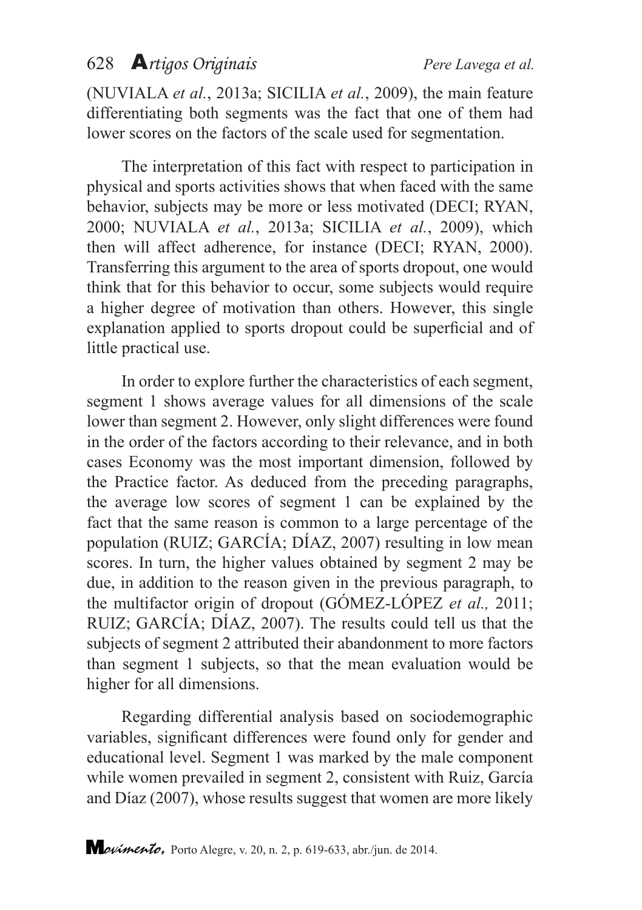(NUVIALA *et al.*, 2013a; SICILIA *et al.*, 2009), the main feature differentiating both segments was the fact that one of them had lower scores on the factors of the scale used for segmentation.

The interpretation of this fact with respect to participation in physical and sports activities shows that when faced with the same behavior, subjects may be more or less motivated (DECI; RYAN, 2000; NUVIALA *et al.*, 2013a; SICILIA *et al.*, 2009), which then will affect adherence, for instance (DECI; RYAN, 2000). Transferring this argument to the area of sports dropout, one would think that for this behavior to occur, some subjects would require a higher degree of motivation than others. However, this single explanation applied to sports dropout could be superficial and of little practical use.

In order to explore further the characteristics of each segment, segment 1 shows average values for all dimensions of the scale lower than segment 2. However, only slight differences were found in the order of the factors according to their relevance, and in both cases Economy was the most important dimension, followed by the Practice factor. As deduced from the preceding paragraphs, the average low scores of segment 1 can be explained by the fact that the same reason is common to a large percentage of the population (RUIZ; GARCÍA; DÍAZ, 2007) resulting in low mean scores. In turn, the higher values obtained by segment 2 may be due, in addition to the reason given in the previous paragraph, to the multifactor origin of dropout (GÓMEZ-LÓPEZ *et al.,* 2011; RUIZ; GARCÍA; DÍAZ, 2007). The results could tell us that the subjects of segment 2 attributed their abandonment to more factors than segment 1 subjects, so that the mean evaluation would be higher for all dimensions.

Regarding differential analysis based on sociodemographic variables, significant differences were found only for gender and educational level. Segment 1 was marked by the male component while women prevailed in segment 2, consistent with Ruiz, García and Díaz (2007), whose results suggest that women are more likely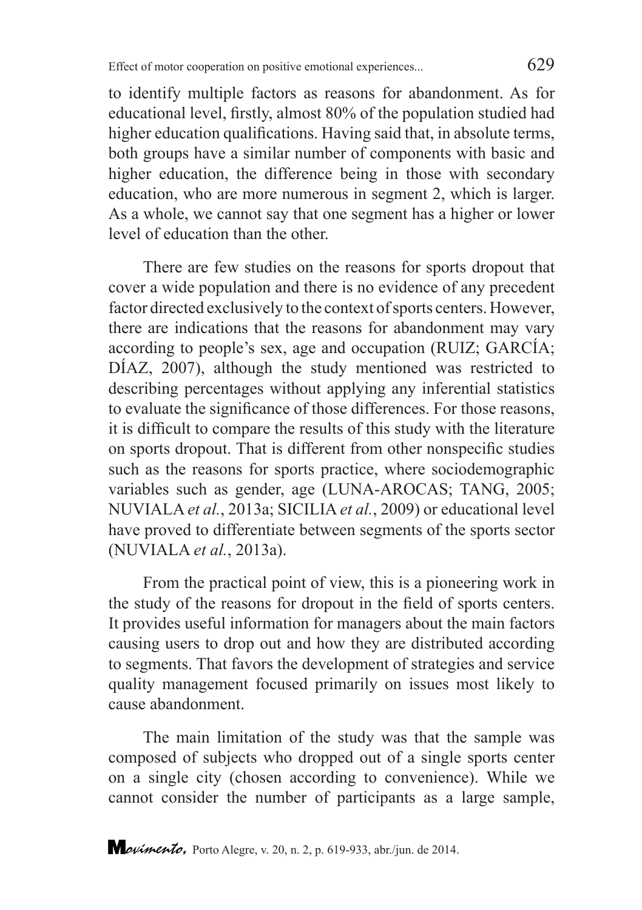to identify multiple factors as reasons for abandonment. As for educational level, firstly, almost 80% of the population studied had higher education qualifications. Having said that, in absolute terms, both groups have a similar number of components with basic and higher education, the difference being in those with secondary education, who are more numerous in segment 2, which is larger. As a whole, we cannot say that one segment has a higher or lower level of education than the other.

There are few studies on the reasons for sports dropout that cover a wide population and there is no evidence of any precedent factor directed exclusively to the context of sports centers. However, there are indications that the reasons for abandonment may vary according to people's sex, age and occupation (RUIZ; GARCÍA; DÍAZ, 2007), although the study mentioned was restricted to describing percentages without applying any inferential statistics to evaluate the significance of those differences. For those reasons, it is difficult to compare the results of this study with the literature on sports dropout. That is different from other nonspecific studies such as the reasons for sports practice, where sociodemographic variables such as gender, age (LUNA-AROCAS; TANG, 2005; NUVIALA *et al.*, 2013a; SICILIA *et al.*, 2009) or educational level have proved to differentiate between segments of the sports sector (NUVIALA *et al.*, 2013a).

From the practical point of view, this is a pioneering work in the study of the reasons for dropout in the field of sports centers. It provides useful information for managers about the main factors causing users to drop out and how they are distributed according to segments. That favors the development of strategies and service quality management focused primarily on issues most likely to cause abandonment.

The main limitation of the study was that the sample was composed of subjects who dropped out of a single sports center on a single city (chosen according to convenience). While we cannot consider the number of participants as a large sample,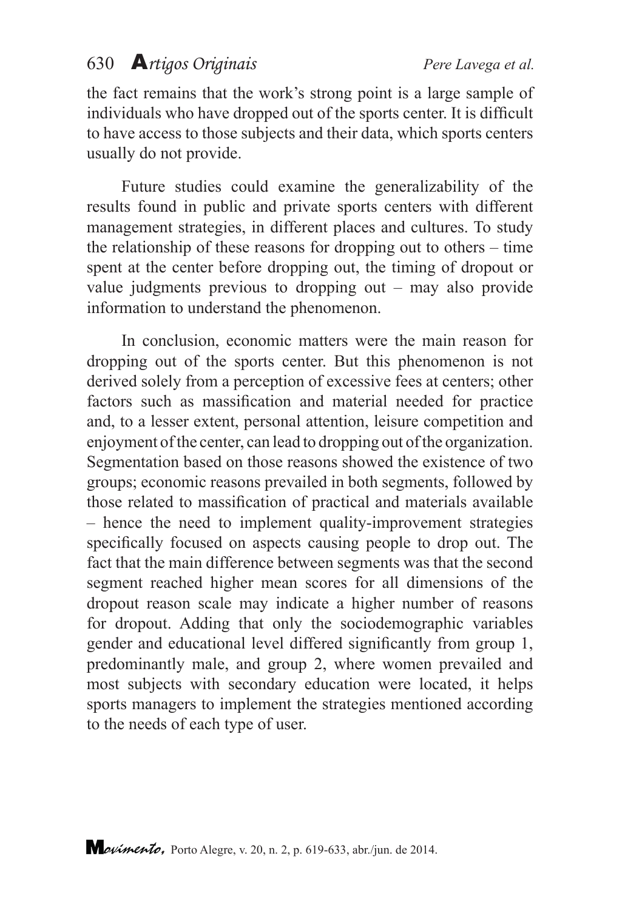the fact remains that the work's strong point is a large sample of individuals who have dropped out of the sports center. It is difficult to have access to those subjects and their data, which sports centers usually do not provide.

Future studies could examine the generalizability of the results found in public and private sports centers with different management strategies, in different places and cultures. To study the relationship of these reasons for dropping out to others – time spent at the center before dropping out, the timing of dropout or value judgments previous to dropping out – may also provide information to understand the phenomenon.

In conclusion, economic matters were the main reason for dropping out of the sports center. But this phenomenon is not derived solely from a perception of excessive fees at centers; other factors such as massification and material needed for practice and, to a lesser extent, personal attention, leisure competition and enjoyment of the center, can lead to dropping out of the organization. Segmentation based on those reasons showed the existence of two groups; economic reasons prevailed in both segments, followed by those related to massification of practical and materials available – hence the need to implement quality-improvement strategies specifically focused on aspects causing people to drop out. The fact that the main difference between segments was that the second segment reached higher mean scores for all dimensions of the dropout reason scale may indicate a higher number of reasons for dropout. Adding that only the sociodemographic variables gender and educational level differed significantly from group 1, predominantly male, and group 2, where women prevailed and most subjects with secondary education were located, it helps sports managers to implement the strategies mentioned according to the needs of each type of user.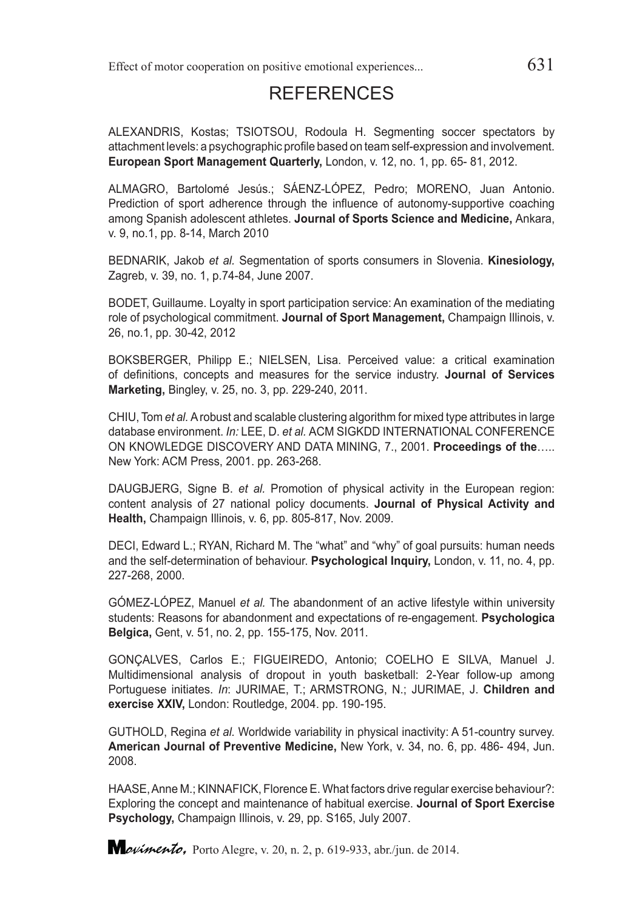#### REFERENCES

ALEXANDRIS, Kostas; TSIOTSOU, Rodoula H. Segmenting soccer spectators by attachment levels: a psychographic profile based on team self-expression and involvement. **European Sport Management Quarterly,** London, v. 12, no. 1, pp. 65- 81, 2012.

ALMAGRO, Bartolomé Jesús.; SÁENZ-LÓPEZ, Pedro; MORENO, Juan Antonio. Prediction of sport adherence through the influence of autonomy-supportive coaching among Spanish adolescent athletes. **Journal of Sports Science and Medicine,** Ankara, v. 9, no.1, pp. 8-14, March 2010

BEDNARIK, Jakob *et al.* Segmentation of sports consumers in Slovenia. **Kinesiology,**  Zagreb, v. 39, no. 1, p.74-84, June 2007.

BODET, Guillaume. Loyalty in sport participation service: An examination of the mediating role of psychological commitment. **Journal of Sport Management,** Champaign Illinois, v. 26, no.1, pp. 30-42, 2012

BOKSBERGER, Philipp E.; NIELSEN, Lisa. Perceived value: a critical examination of definitions, concepts and measures for the service industry. **Journal of Services Marketing,** Bingley, v. 25, no. 3, pp. 229-240, 2011.

CHIU, Tom *et al.* A robust and scalable clustering algorithm for mixed type attributes in large database environment. *In:* LEE, D. *et al.* ACM SIGKDD INTERNATIONAL CONFERENCE ON KNOWLEDGE DISCOVERY AND DATA MINING, 7., 2001. **Proceedings of the**….. New York: ACM Press, 2001. pp. 263-268.

DAUGBJERG, Signe B. *et al.* Promotion of physical activity in the European region: content analysis of 27 national policy documents. **Journal of Physical Activity and Health,** Champaign Illinois, v. 6, pp. 805-817, Nov. 2009.

DECI, Edward L.; RYAN, Richard M. The "what" and "why" of goal pursuits: human needs and the self-determination of behaviour. **Psychological Inquiry,** London, v. 11, no. 4, pp. 227-268, 2000.

GÓMEZ-LÓPEZ, Manuel *et al.* The abandonment of an active lifestyle within university students: Reasons for abandonment and expectations of re-engagement. **Psychologica Belgica,** Gent, v. 51, no. 2, pp. 155-175, Nov. 2011.

GONÇALVES, Carlos E.; FIGUEIREDO, Antonio; COELHO E SILVA, Manuel J. Multidimensional analysis of dropout in youth basketball: 2-Year follow-up among Portuguese initiates. *In*: JURIMAE, T.; ARMSTRONG, N.; JURIMAE, J. **Children and exercise XXIV,** London: Routledge, 2004. pp. 190-195.

GUTHOLD, Regina *et al.* Worldwide variability in physical inactivity: A 51-country survey. **American Journal of Preventive Medicine,** New York, v. 34, no. 6, pp. 486- 494, Jun. 2008.

HAASE, Anne M.; KINNAFICK, Florence E. What factors drive regular exercise behaviour?: Exploring the concept and maintenance of habitual exercise. **Journal of Sport Exercise Psychology,** Champaign Illinois, v. 29, pp. S165, July 2007.

*Lovimento*, Porto Alegre, v. 20, n. 2, p. 619-933, abr./jun. de 2014.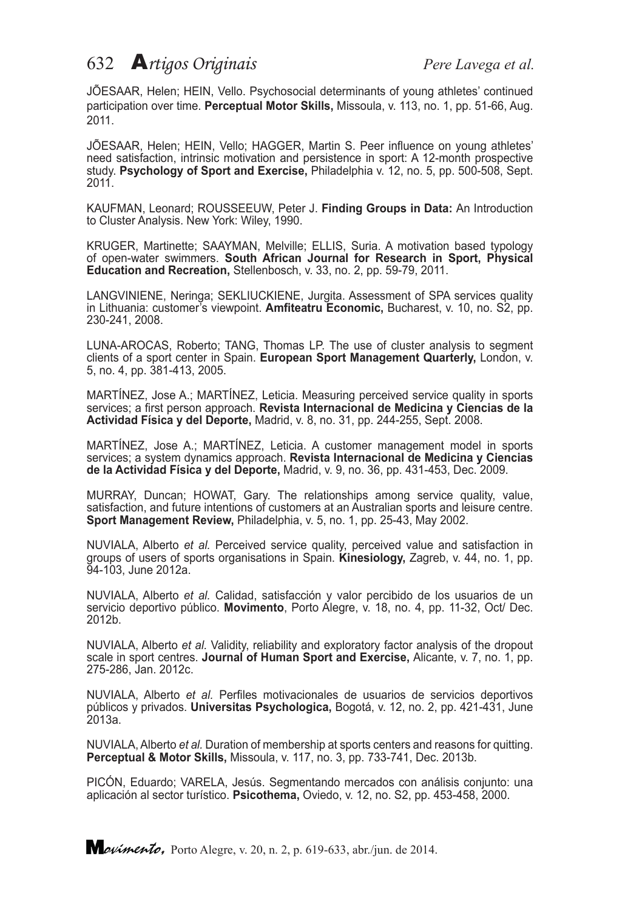JÕESAAR, Helen; HEIN, Vello. Psychosocial determinants of young athletes' continued participation over time. **Perceptual Motor Skills,** Missoula, v. 113, no. 1, pp. 51-66, Aug. 2011.

JÕESAAR, Helen; HEIN, Vello; HAGGER, Martin S. Peer influence on young athletes' need satisfaction, intrinsic motivation and persistence in sport: A 12-month prospective study. **Psychology of Sport and Exercise,** Philadelphia v. 12, no. 5, pp. 500-508, Sept. 2011.

KAUFMAN, Leonard; ROUSSEEUW, Peter J. **Finding Groups in Data:** An Introduction to Cluster Analysis. New York: Wiley, 1990.

KRUGER, Martinette; SAAYMAN, Melville; ELLIS, Suria. A motivation based typology of open-water swimmers. **South African Journal for Research in Sport, Physical Education and Recreation,** Stellenbosch, v. 33, no. 2, pp. 59-79, 2011.

LANGVINIENE, Neringa; SEKLIUCKIENE, Jurgita. Assessment of SPA services quality in Lithuania: customer's viewpoint. **Amfiteatru Economic,** Bucharest, v. 10, no. S2, pp. 230-241, 2008.

LUNA-AROCAS, Roberto; TANG, Thomas LP. The use of cluster analysis to segment clients of a sport center in Spain. **European Sport Management Quarterly,** London, v. 5, no. 4, pp. 381-413, 2005.

MARTÍNEZ, Jose A.; MARTÍNEZ, Leticia. Measuring perceived service quality in sports services; a first person approach. **Revista Internacional de Medicina y Ciencias de la Actividad Física y del Deporte,** Madrid, v. 8, no. 31, pp. 244-255, Sept. 2008.

MARTÍNEZ, Jose A.; MARTÍNEZ, Leticia. A customer management model in sports services; a system dynamics approach. **Revista Internacional de Medicina y Ciencias de la Actividad Física y del Deporte,** Madrid, v. 9, no. 36, pp. 431-453, Dec. 2009.

MURRAY, Duncan; HOWAT, Gary. The relationships among service quality, value, satisfaction, and future intentions of customers at an Australian sports and leisure centre. **Sport Management Review,** Philadelphia, v. 5, no. 1, pp. 25-43, May 2002.

NUVIALA, Alberto *et al.* Perceived service quality, perceived value and satisfaction in groups of users of sports organisations in Spain. **Kinesiology,** Zagreb, v. 44, no. 1, pp. 94-103, June 2012a.

NUVIALA, Alberto *et al.* Calidad, satisfacción y valor percibido de los usuarios de un servicio deportivo público. **Movimento**, Porto Alegre, v. 18, no. 4, pp. 11-32, Oct/ Dec. 2012b.

NUVIALA, Alberto *et al.* Validity, reliability and exploratory factor analysis of the dropout scale in sport centres. **Journal of Human Sport and Exercise,** Alicante, v. 7, no. 1, pp. 275-286, Jan. 2012c.

NUVIALA, Alberto *et al.* Perfiles motivacionales de usuarios de servicios deportivos públicos y privados. **Universitas Psychologica,** Bogotá, v. 12, no. 2, pp. 421-431, June 2013a.

NUVIALA, Alberto *et al.* Duration of membership at sports centers and reasons for quitting. **Perceptual & Motor Skills,** Missoula, v. 117, no. 3, pp. 733-741, Dec. 2013b.

PICÓN, Eduardo; VARELA, Jesús. Segmentando mercados con análisis conjunto: una aplicación al sector turístico. **Psicothema,** Oviedo, v. 12, no. S2, pp. 453-458, 2000.

*Lovimento*, Porto Alegre, v. 20, n. 2, p. 619-633, abr./jun. de 2014.